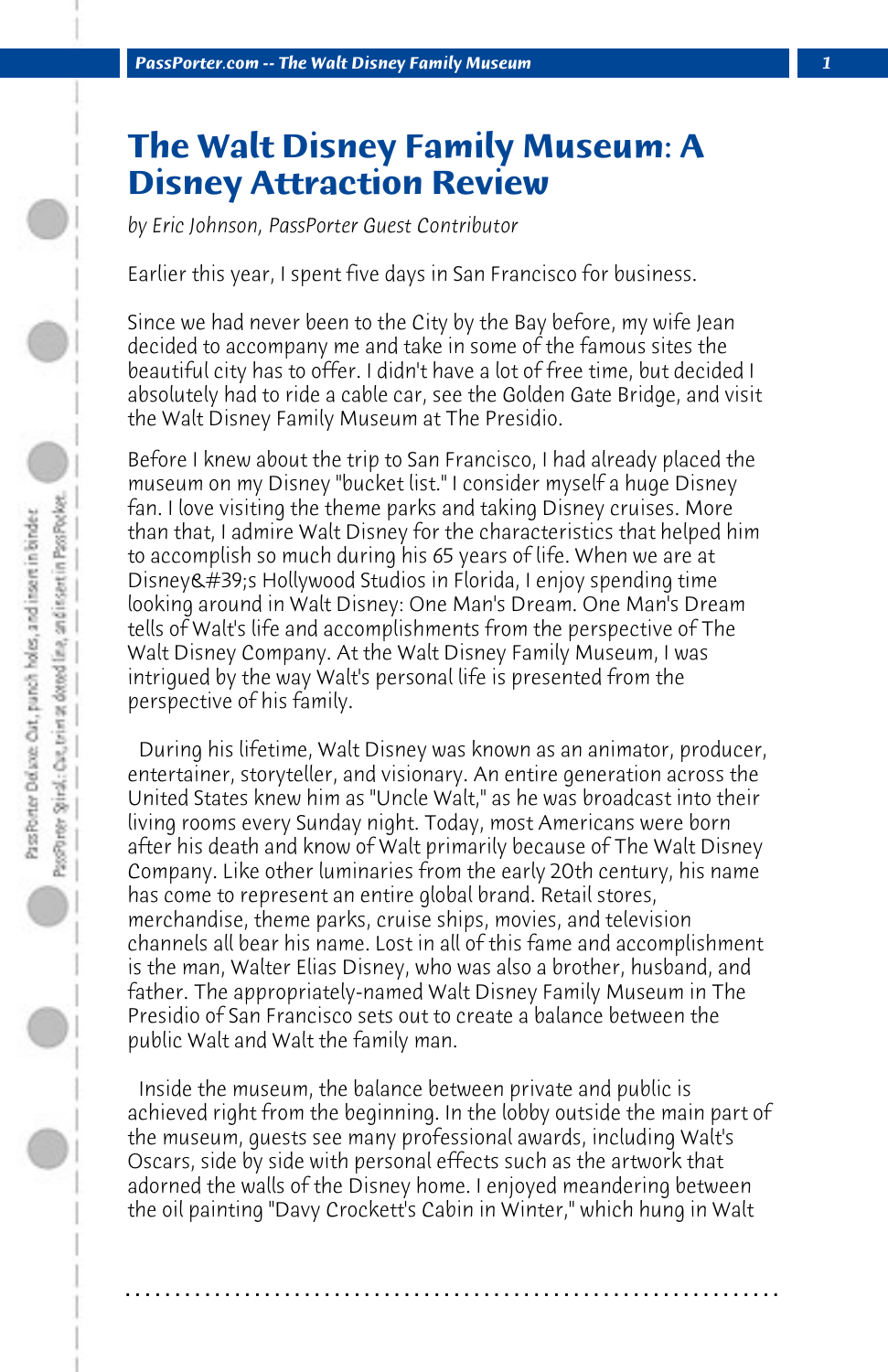## **The Walt Disney Family Museum: A Disney Attraction Review**

*by Eric Johnson, PassPorter Guest Contributor*

Earlier this year, I spent five days in San Francisco for business.

Since we had never been to the City by the Bay before, my wife Jean decided to accompany me and take in some of the famous sites the beautiful city has to offer. I didn't have a lot of free time, but decided I absolutely had to ride a cable car, see the Golden Gate Bridge, and visit the Walt Disney Family Museum at The Presidio.

Before I knew about the trip to San Francisco, I had already placed the museum on my Disney "bucket list." I consider myself a huge Disney fan. I love visiting the theme parks and taking Disney cruises. More than that, I admire Walt Disney for the characteristics that helped him to accomplish so much during his 65 years of life. When we are at Disney&#39:s Hollywood Studios in Florida, I enjoy spending time looking around in Walt Disney: One Man's Dream. One Man's Dream tells of Walt's life and accomplishments from the perspective of The Walt Disney Company. At the Walt Disney Family Museum, I was intrigued by the way Walt's personal life is presented from the perspective of his family.

 During his lifetime, Walt Disney was known as an animator, producer, entertainer, storyteller, and visionary. An entire generation across the United States knew him as "Uncle Walt," as he was broadcast into their living rooms every Sunday night. Today, most Americans were born after his death and know of Walt primarily because of The Walt Disney Company. Like other luminaries from the early 20th century, his name has come to represent an entire global brand. Retail stores, merchandise, theme parks, cruise ships, movies, and television channels all bear his name. Lost in all of this fame and accomplishment is the man, Walter Elias Disney, who was also a brother, husband, and father. The appropriately-named Walt Disney Family Museum in The Presidio of San Francisco sets out to create a balance between the public Walt and Walt the family man.

 Inside the museum, the balance between private and public is achieved right from the beginning. In the lobby outside the main part of the museum, guests see many professional awards, including Walt's Oscars, side by side with personal effects such as the artwork that adorned the walls of the Disney home. I enjoyed meandering between the oil painting "Davy Crockett's Cabin in Winter," which hung in Walt

**. . . . . . . . . . . . . . . . . . . . . . . . . . . . . . . . . . . . . . . . . . . . . . . . . . . . . . . . . . . . . . . . . .**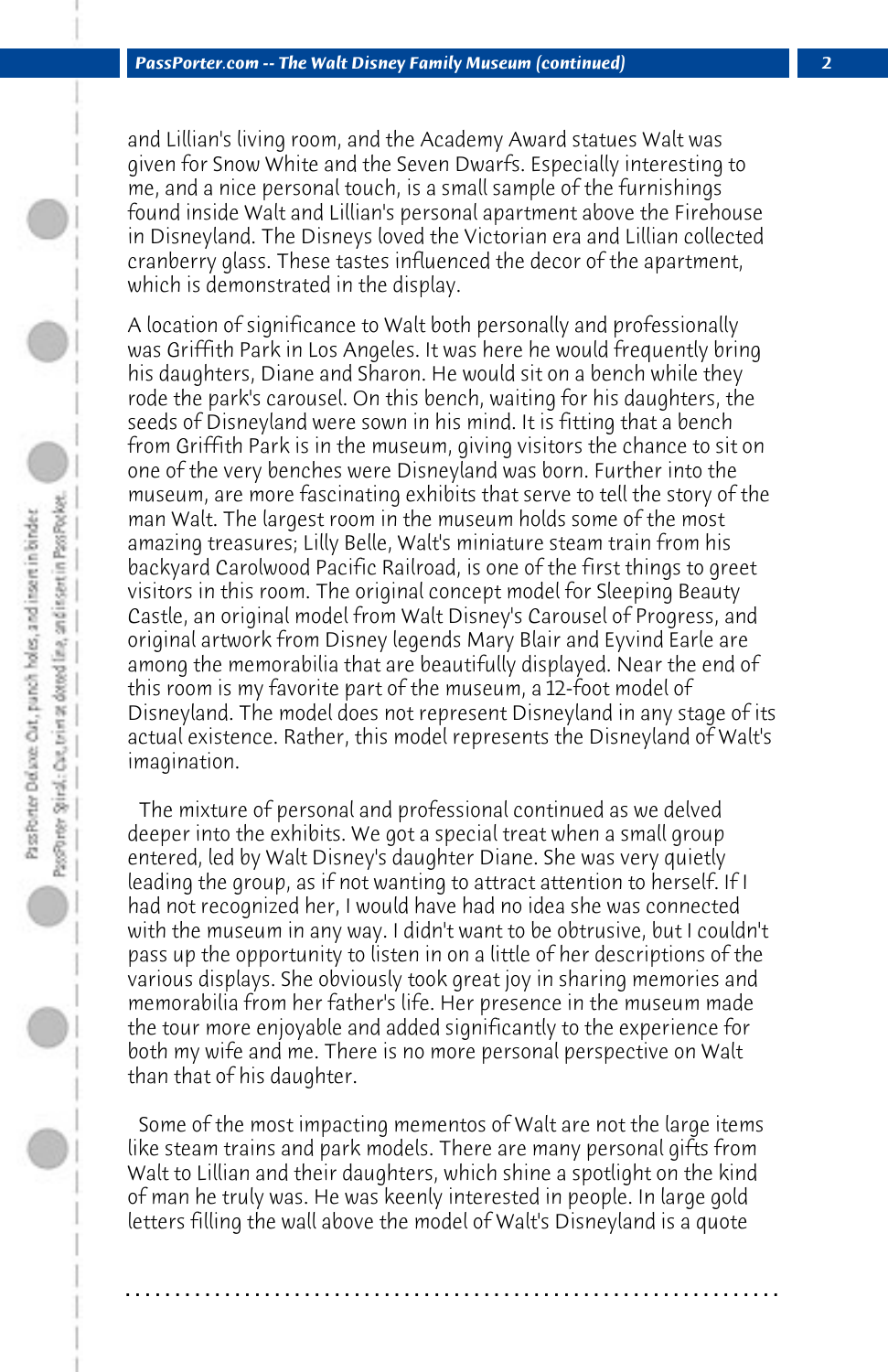and Lillian's living room, and the Academy Award statues Walt was given for Snow White and the Seven Dwarfs. Especially interesting to me, and a nice personal touch, is a small sample of the furnishings found inside Walt and Lillian's personal apartment above the Firehouse in Disneyland. The Disneys loved the Victorian era and Lillian collected cranberry glass. These tastes influenced the decor of the apartment, which is demonstrated in the display.

A location of significance to Walt both personally and professionally was Griffith Park in Los Angeles. It was here he would frequently bring his daughters, Diane and Sharon. He would sit on a bench while they rode the park's carousel. On this bench, waiting for his daughters, the seeds of Disneyland were sown in his mind. It is fitting that a bench from Griffith Park is in the museum, giving visitors the chance to sit on one of the very benches were Disneyland was born. Further into the museum, are more fascinating exhibits that serve to tell the story of the man Walt. The largest room in the museum holds some of the most amazing treasures; Lilly Belle, Walt's miniature steam train from his backyard Carolwood Pacific Railroad, is one of the first things to greet visitors in this room. The original concept model for Sleeping Beauty Castle, an original model from Walt Disney's Carousel of Progress, and original artwork from Disney legends Mary Blair and Eyvind Earle are among the memorabilia that are beautifully displayed. Near the end of this room is my favorite part of the museum, a 12-foot model of Disneyland. The model does not represent Disneyland in any stage of its actual existence. Rather, this model represents the Disneyland of Walt's imagination.

 The mixture of personal and professional continued as we delved deeper into the exhibits. We got a special treat when a small group entered, led by Walt Disney's daughter Diane. She was very quietly leading the group, as if not wanting to attract attention to herself. If I had not recognized her, I would have had no idea she was connected with the museum in any way. I didn't want to be obtrusive, but I couldn't pass up the opportunity to listen in on a little of her descriptions of the various displays. She obviously took great joy in sharing memories and memorabilia from her father's life. Her presence in the museum made the tour more enjoyable and added significantly to the experience for both my wife and me. There is no more personal perspective on Walt than that of his daughter.

 Some of the most impacting mementos of Walt are not the large items like steam trains and park models. There are many personal gifts from Walt to Lillian and their daughters, which shine a spotlight on the kind of man he truly was. He was keenly interested in people. In large gold letters filling the wall above the model of Walt's Disneyland is a quote

**. . . . . . . . . . . . . . . . . . . . . . . . . . . . . . . . . . . . . . . . . . . . . . . . . . . . . . . . . . . . . . . . . .**